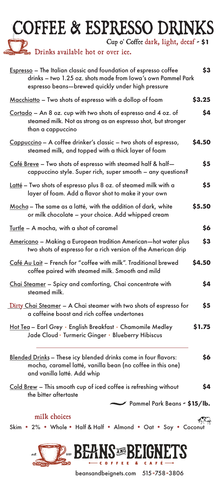## COFFEE & ESPRESSO DRINKS

Cup o' Coffee dark, light, decaf - **\$1**

De Drinks available hot or over ice.

| Espresso - The Italian classic and foundation of espresso coffee<br>drinks - two 1.25 oz. shots made from Iowa's own Pammel Park<br>espresso beans—brewed quickly under high pressure | \$3    |
|---------------------------------------------------------------------------------------------------------------------------------------------------------------------------------------|--------|
| Macchiatto - Two shots of espresso with a dollop of foam                                                                                                                              | \$3.25 |
| Cortado - An 8 oz. cup with two shots of espresso and 4 oz. of<br>steamed milk. Not as strong as an espresso shot, but stronger<br>than a cappuccino                                  | \$4    |
| Cappuccino - A coffee drinker's classic - two shots of espresso,<br>steamed milk, and topped with a thick layer of foam                                                               | \$4.50 |
| Café Breve - Two shots of espresso with steamed half & half-<br>cappuccino style. Super rich, super smooth – any questions?                                                           | \$5    |
| Latté – Two shots of espresso plus 8 oz. of steamed milk with a<br>layer of foam. Add a flavor shot to make it your own                                                               | \$5    |
| Mocha - The same as a latté, with the addition of dark, white<br>or milk chocolate - your choice. Add whipped cream                                                                   | \$5.50 |
| Turtle - A mocha, with a shot of caramel                                                                                                                                              | \$6    |
| Americano - Making a European tradition American-hot water plus<br>two shots of espresso for a rich version of the American drip                                                      | \$3    |
| Café Au Lait - French for "coffee with milk". Traditional brewed<br>coffee paired with steamed milk. Smooth and mild                                                                  | \$4.50 |
| Chai Steamer - Spicy and comforting, Chai concentrate with<br>steamed milk.                                                                                                           | \$4    |
| Dirty Chai Steamer - A Chai steamer with two shots of espresso for<br>a caffeine boost and rich coffee undertones                                                                     | \$5    |
| Hot Tea - Earl Grey · English Breakfast · Chamomile Medley<br>Jade Cloud · Turmeric Ginger · Blueberry Hibiscus                                                                       | \$1.75 |
| Blended Drinks - These icy blended drinks come in four flavors:<br>mocha, caramel latté, vanilla bean (no coffee in this one)<br>and vanilla latté. Add whip                          | \$6    |
| Cold Brew - This smooth cup of iced coffee is refreshing without<br>the bitter aftertaste                                                                                             | \$4    |
| Pammel Park Beans - \$15/lb.                                                                                                                                                          |        |
| milk choices<br>Skim . 2% . Whole . Half & Half . Almond . Oat . Soy . Coconut                                                                                                        |        |



beansandbeignets.com 515-758-3806